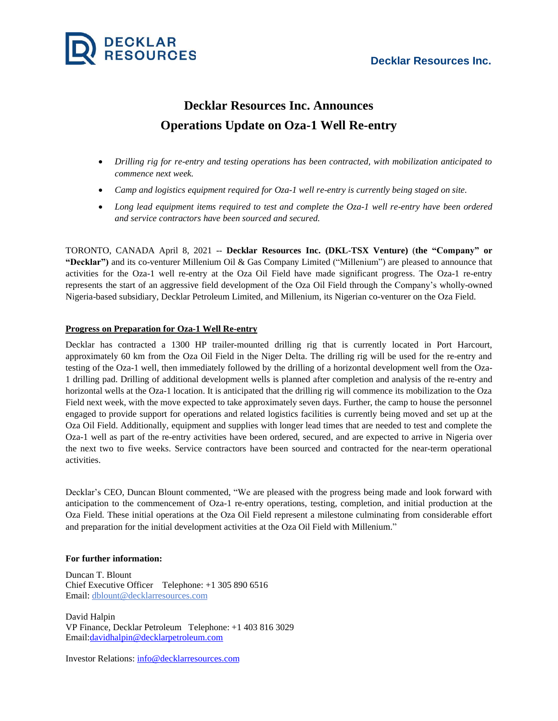

## **Decklar Resources Inc. Announces Operations Update on Oza-1 Well Re-entry**

- *Drilling rig for re-entry and testing operations has been contracted, with mobilization anticipated to commence next week.*
- *Camp and logistics equipment required for Oza-1 well re-entry is currently being staged on site.*
- *Long lead equipment items required to test and complete the Oza-1 well re-entry have been ordered and service contractors have been sourced and secured.*

TORONTO, CANADA April 8, 2021 -- **Decklar Resources Inc. (DKL-TSX Venture)** (**the "Company" or "Decklar")** and its co-venturer Millenium Oil & Gas Company Limited ("Millenium") are pleased to announce that activities for the Oza-1 well re-entry at the Oza Oil Field have made significant progress. The Oza-1 re-entry represents the start of an aggressive field development of the Oza Oil Field through the Company's wholly-owned Nigeria-based subsidiary, Decklar Petroleum Limited, and Millenium, its Nigerian co-venturer on the Oza Field.

## **Progress on Preparation for Oza-1 Well Re-entry**

Decklar has contracted a 1300 HP trailer-mounted drilling rig that is currently located in Port Harcourt, approximately 60 km from the Oza Oil Field in the Niger Delta. The drilling rig will be used for the re-entry and testing of the Oza-1 well, then immediately followed by the drilling of a horizontal development well from the Oza-1 drilling pad. Drilling of additional development wells is planned after completion and analysis of the re-entry and horizontal wells at the Oza-1 location. It is anticipated that the drilling rig will commence its mobilization to the Oza Field next week, with the move expected to take approximately seven days. Further, the camp to house the personnel engaged to provide support for operations and related logistics facilities is currently being moved and set up at the Oza Oil Field. Additionally, equipment and supplies with longer lead times that are needed to test and complete the Oza-1 well as part of the re-entry activities have been ordered, secured, and are expected to arrive in Nigeria over the next two to five weeks. Service contractors have been sourced and contracted for the near-term operational activities.

Decklar's CEO, Duncan Blount commented, "We are pleased with the progress being made and look forward with anticipation to the commencement of Oza-1 re-entry operations, testing, completion, and initial production at the Oza Field. These initial operations at the Oza Oil Field represent a milestone culminating from considerable effort and preparation for the initial development activities at the Oza Oil Field with Millenium."

## **For further information:**

Duncan T. Blount Chief Executive Officer Telephone: +1 305 890 6516 Email: [dblount@decklarresources.com](mailto:dblount@decklarresources.com)

David Halpin VP Finance, Decklar Petroleum Telephone: +1 403 816 3029 Email[:davidhalpin@decklarpetroleum.com](mailto:davidhalpin@decklarpetroleum.com)

Investor Relations: [info@decklarresources.com](mailto:info@decklarresources.com)